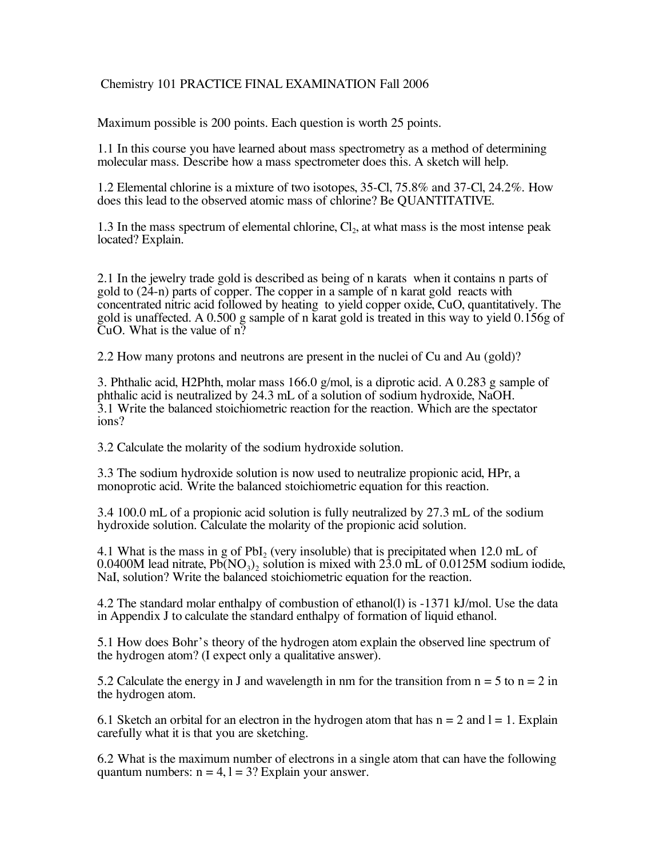## Chemistry 101 PRACTICE FINAL EXAMINATION Fall 2006

Maximum possible is 200 points. Each question is worth 25 points.

1.1 In this course you have learned about mass spectrometry as a method of determining molecular mass. Describe how a mass spectrometer does this. A sketch will help.

1.2 Elemental chlorine is a mixture of two isotopes, 35-Cl, 75.8% and 37-Cl, 24.2%. How does this lead to the observed atomic mass of chlorine? Be QUANTITATIVE.

1.3 In the mass spectrum of elemental chlorine,  $Cl<sub>2</sub>$ , at what mass is the most intense peak located? Explain.

2.1 In the jewelry trade gold is described as being of n karats when it contains n parts of gold to (24-n) parts of copper. The copper in a sample of n karat gold reacts with concentrated nitric acid followed by heating to yield copper oxide, CuO, quantitatively. The gold is unaffected. A 0.500 g sample of n karat gold is treated in this way to yield 0.156g of CuO. What is the value of n?

2.2 How many protons and neutrons are present in the nuclei of Cu and Au (gold)?

3. Phthalic acid, H2Phth, molar mass 166.0 g/mol, is a diprotic acid. A 0.283 g sample of 3.1 Write the balanced stoichiometric reaction for the reaction. Which are the spectator ions?

3.2 Calculate the molarity of the sodium hydroxide solution.

3.3 The sodium hydroxide solution is now used to neutralize propionic acid, HPr, a monoprotic acid. Write the balanced stoichiometric equation for this reaction.

3.4 100.0 mL of a propionic acid solution is fully neutralized by 27.3 mL of the sodium hydroxide solution. Calculate the molarity of the propionic acid solution.

4.1 What is the mass in g of PbI<sub>2</sub> (very insoluble) that is precipitated when  $12.0$  mL of 0.0400M lead nitrate,  $Pb(NO_3)$ , solution is mixed with 23.0 mL of 0.0125M sodium iodide, NaI, solution? Write the balanced stoichiometric equation for the reaction.

4.2 The standard molar enthalpy of combustion of ethanol(l) is -1371 kJ/mol. Use the data in Appendix J to calculate the standard enthalpy of formation of liquid ethanol.

5.1 How does Bohr's theory of the hydrogen atom explain the observed line spectrum of the hydrogen atom? (I expect only a qualitative answer).

5.2 Calculate the energy in J and wavelength in nm for the transition from  $n = 5$  to  $n = 2$  in the hydrogen atom.

6.1 Sketch an orbital for an electron in the hydrogen atom that has  $n = 2$  and  $l = 1$ . Explain carefully what it is that you are sketching.

6.2 What is the maximum number of electrons in a single atom that can have the following quantum numbers:  $n = 4$ ,  $l = 3$ ? Explain your answer.